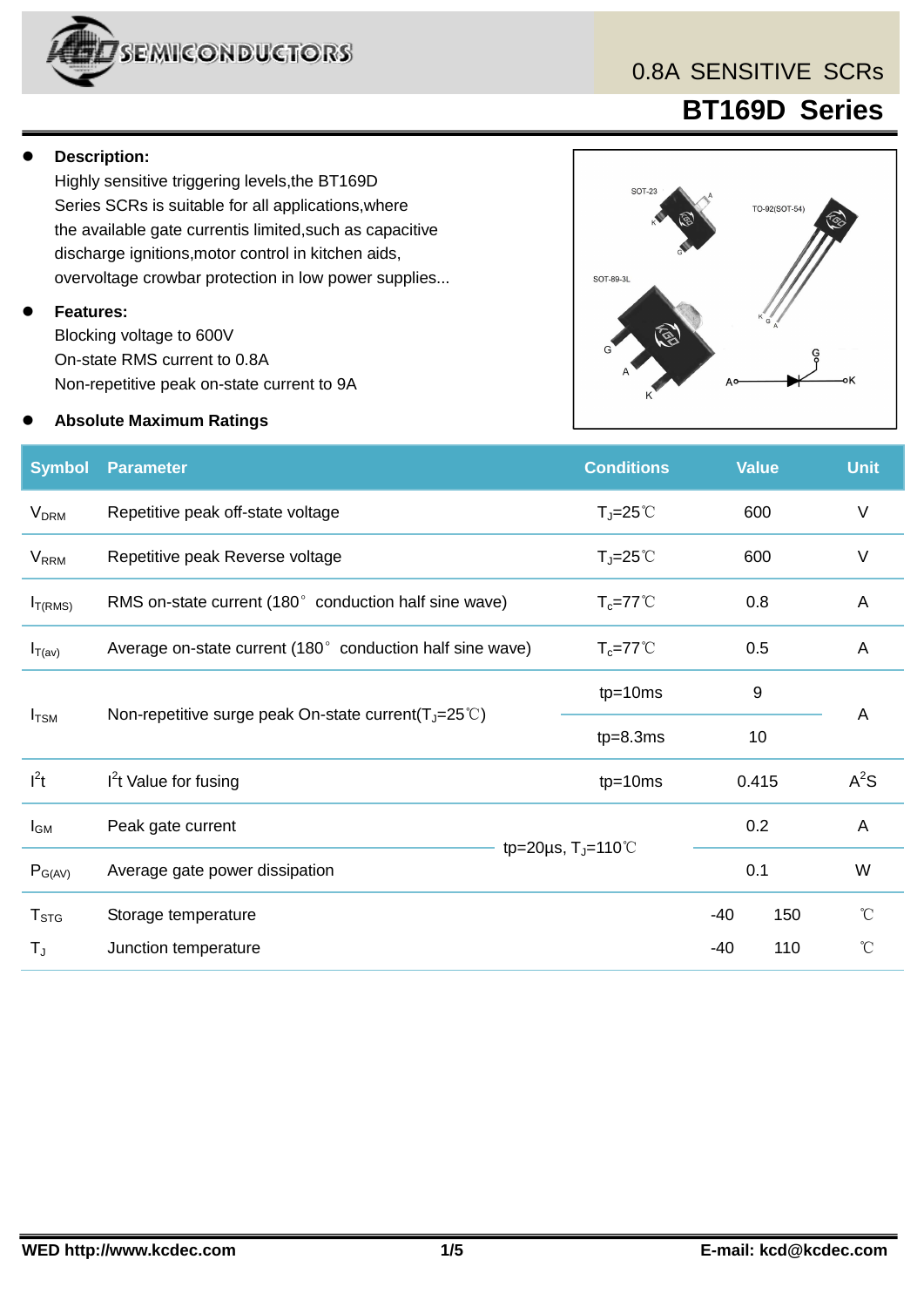

### 0.8A SENSITIVE SCRs

 **BT169D Series**

#### **Description:**

Highly sensitive triggering levels,the BT169D Series SCRs is suitable for all applications,where the available gate currentis limited,such as capacitive discharge ignitions,motor control in kitchen aids, overvoltage crowbar protection in low power supplies...

#### **Features:**

Blocking voltage to 600V On-state RMS current to 0.8A Non-repetitive peak on-state current to 9A

#### **Absolute Maximum Ratings**



| <b>Symbol</b>           | <b>Parameter</b>                                          | <b>Conditions</b>                                             |       | <b>Value</b> | <b>Unit</b>     |
|-------------------------|-----------------------------------------------------------|---------------------------------------------------------------|-------|--------------|-----------------|
| <b>V<sub>DRM</sub></b>  | Repetitive peak off-state voltage                         | $T_J = 25^{\circ}C$                                           |       | 600          | $\vee$          |
| <b>V</b> <sub>RRM</sub> | Repetitive peak Reverse voltage                           | $T_J = 25^{\circ}C$                                           | 600   |              | $\vee$          |
| I <sub>T(RMS)</sub>     | RMS on-state current (180° conduction half sine wave)     | $T_c = 77^{\circ}$ C                                          |       | 0.8          | $\overline{A}$  |
| $I_{T(av)}$             | Average on-state current (180° conduction half sine wave) | $T_c = 77^{\circ}$ C                                          | 0.5   |              | A               |
|                         |                                                           | $tp=10ms$                                                     |       | $9\,$        |                 |
| $I_{\text{TSM}}$        | Non-repetitive surge peak On-state current( $T_J$ =25°C)  | $tp=8.3ms$                                                    | 10    |              | $\overline{A}$  |
| $I^2t$                  | $I2t$ Value for fusing                                    | $tp=10ms$                                                     |       | 0.415        | $A^2S$          |
| $I_{GM}$                | Peak gate current                                         |                                                               |       | 0.2          | A               |
| $P_{G(AV)}$             | Average gate power dissipation                            | tp=20 $\mu$ s, T <sub>J</sub> =110 <sup>°</sup> C<br>0.1<br>W |       |              |                 |
| $T_{STG}$               | Storage temperature                                       |                                                               | $-40$ | 150          | °C              |
| T,                      | Junction temperature                                      |                                                               | -40   | 110          | $\rm ^{\circ}C$ |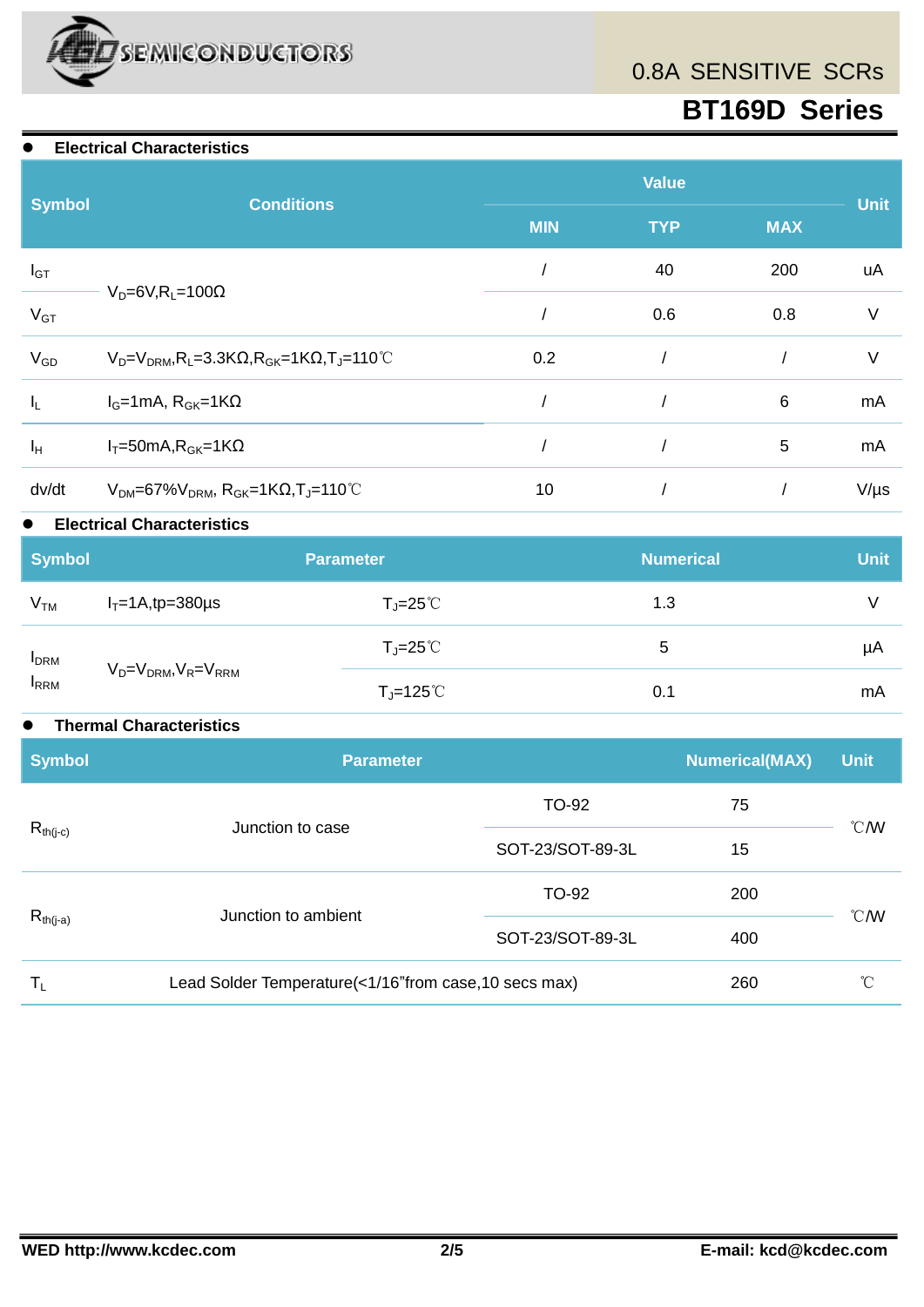

## 0.8A SENSITIVE SCRs

# **BT169D Series**

#### **Electrical Characteristics**

|               |                                                                                                        | <b>Value</b>         |            |             |           |
|---------------|--------------------------------------------------------------------------------------------------------|----------------------|------------|-------------|-----------|
| <b>Symbol</b> | <b>Conditions</b>                                                                                      | <b>MIN</b>           | <b>MAX</b> | <b>Unit</b> |           |
| $I_{GT}$      |                                                                                                        |                      | 40         | 200         | uA        |
| $V_{GT}$      | $V_D=6V, R_L=100\Omega$                                                                                | 0.6<br>$\vee$<br>0.8 |            |             |           |
| $V_{GD}$      | $V_D = V_{DRM}$ , R <sub>L</sub> =3.3K $\Omega$ , R <sub>GK</sub> =1K $\Omega$ , T <sub>J</sub> =110°C | 0.2                  |            |             | V         |
| $I_L$         | $I_G=1mA$ , $R_{GK}=1K\Omega$                                                                          |                      |            | 6           | mA        |
| $I_H$         | $I_T = 50mA$ , $R_{GK} = 1K\Omega$                                                                     |                      |            | 5           | mA        |
| dv/dt         | $V_{DM}$ =67% $V_{DRM}$ , R <sub>GK</sub> =1KQ,T <sub>J</sub> =110°C                                   | 10                   |            |             | $V/\mu s$ |

#### **Electrical Characteristics**

| <b>Symbol</b>    |                                   | <b>Parameter</b>                     | <b>Numerical</b> | <b>Unit</b> |
|------------------|-----------------------------------|--------------------------------------|------------------|-------------|
| V <sub>TM</sub>  | $I_T = 1A$ , tp=380 $\mu$ s       | $T_J = 25^{\circ}C$                  | 1.3              |             |
|                  |                                   | $T_J = 25^{\circ}C$                  | 5                | μA          |
| $IDRM$<br>$IRRM$ | $V_D = V_{DRM}$ , $V_R = V_{RRM}$ | $T_{\sf J}$ =125 $^{\circ}\!{\rm C}$ | 0.1              | mA          |

#### **Thermal Characteristics**

| <b>Symbol</b>             | Parameter                                              | <b>Numerical(MAX)</b> | <b>Unit</b> |                  |  |
|---------------------------|--------------------------------------------------------|-----------------------|-------------|------------------|--|
|                           | Junction to case                                       | TO-92                 | 75          |                  |  |
| $R_{th(j-c)}$             |                                                        | SOT-23/SOT-89-3L      | 15          | $\mathcal{C}$ MV |  |
|                           |                                                        | TO-92                 | 200         |                  |  |
| $R_{th(j-a)}$             | Junction to ambient                                    | SOT-23/SOT-89-3L      | 400         | $\mathcal{C}$ MV |  |
| $\mathsf{T}_{\mathsf{L}}$ | Lead Solder Temperature(<1/16" from case, 10 secs max) |                       | 260         | $^{\circ}C$      |  |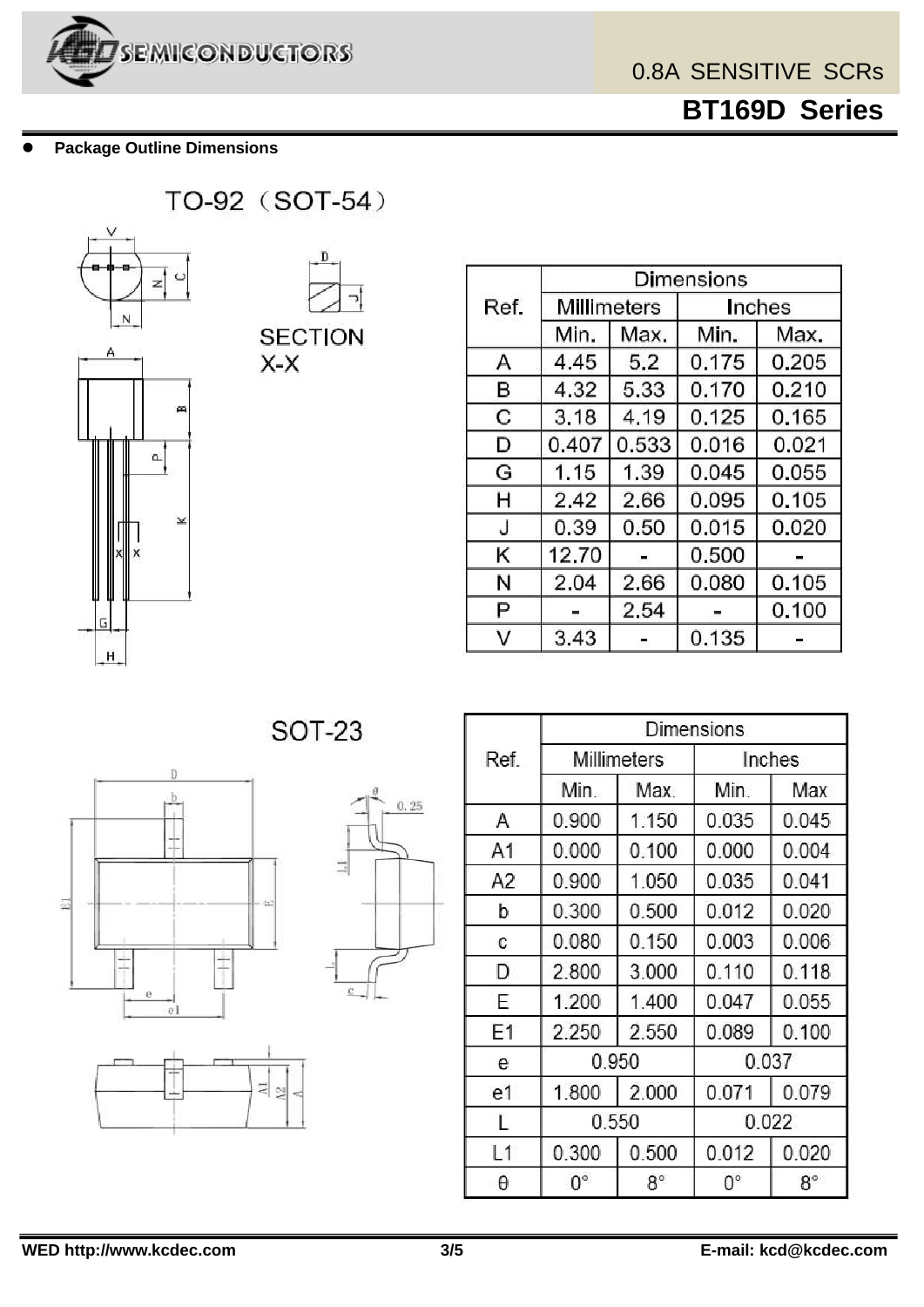

 **BT169D Series**

**Package Outline Dimensions**



|      | <b>Dimensions</b> |       |        |       |  |
|------|-------------------|-------|--------|-------|--|
| Ref. | Millimeters       |       | Inches |       |  |
|      | Min.              | Max.  | Min.   | Max.  |  |
| Α    | 4.45              | 5.2   | 0.175  | 0.205 |  |
| в    | 4.32              | 5.33  | 0.170  | 0.210 |  |
| C    | 3.18              | 4.19  | 0.125  | 0.165 |  |
| D    | 0.407             | 0.533 | 0.016  | 0.021 |  |
| G    | 1.15              | 1.39  | 0.045  | 0.055 |  |
| Η    | 2.42              | 2.66  | 0.095  | 0.105 |  |
| J    | 0.39              | 0.50  | 0.015  | 0.020 |  |
| κ    | 12.70             |       | 0.500  |       |  |
| Ν    | 2.04              | 2.66  | 0.080  | 0.105 |  |
| Ρ    |                   | 2.54  |        | 0.100 |  |
| V    | 3.43              |       | 0.135  |       |  |

**SOT-23** 

 $0.25$ 





|                | Dimensions         |           |        |             |  |
|----------------|--------------------|-----------|--------|-------------|--|
| Ref.           | <b>Millimeters</b> |           | Inches |             |  |
|                | Min.               | Max.      | Min.   | Max         |  |
| Α              | 0.900              | 1.150     | 0.035  | 0.045       |  |
| A1             | 0.000              | 0.100     | 0.000  | 0.004       |  |
| A <sub>2</sub> | 0.900              | 1.050     | 0.035  | 0.041       |  |
| b              | 0.300              | 0.500     | 0.012  | 0.020       |  |
| C              | 0.080              | 0.150     | 0.003  | 0.006       |  |
| D              | 2.800              | 3.000     | 0.110  | 0.118       |  |
| E              | 1.200              | 1.400     | 0.047  | 0.055       |  |
| F1             | 2.250              | 2.550     | 0.089  | 0.100       |  |
| е              | 0.950              |           | 0.037  |             |  |
| e1             | 1.800              | 2.000     | 0.071  | 0.079       |  |
| L              | 0.550              |           | 0.022  |             |  |
| L1             | 0.300              | 0.500     | 0.012  | 0.020       |  |
| θ              | $0^{\circ}$        | $8^\circ$ | 0°     | $8^{\circ}$ |  |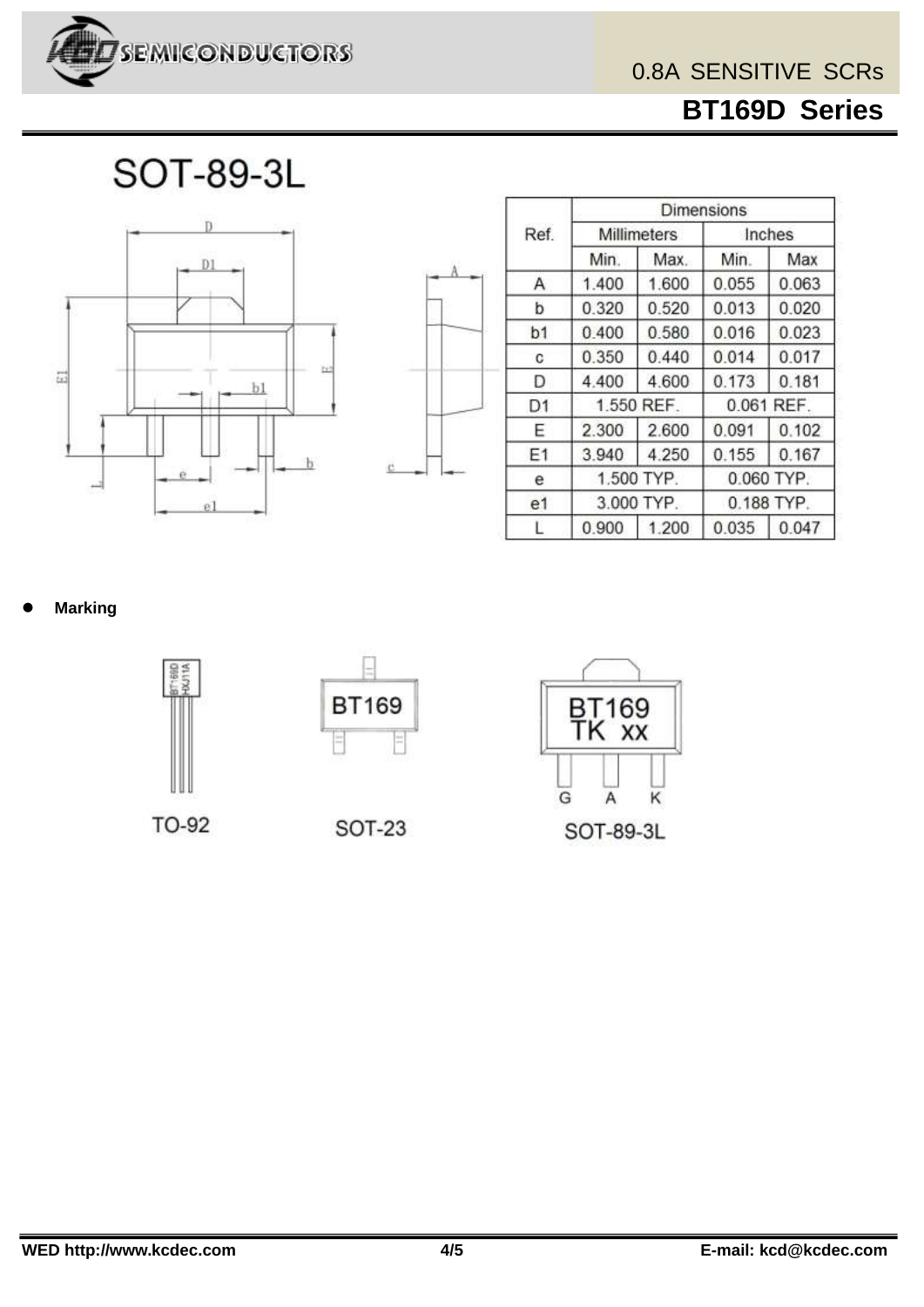

 **BT169D Series**

**SOT-89-3L** 





|                | Dimensions  |            |            |            |  |
|----------------|-------------|------------|------------|------------|--|
| Ref.           | Millimeters |            | Inches     |            |  |
|                | Min.        | Max.       | Min.       | Max        |  |
| Α              | 1.400       | 1.600      | 0.055      | 0.063      |  |
| b              | 0.320       | 0.520      | 0.013      | 0.020      |  |
| b1             | 0.400       | 0.580      | 0.016      | 0.023      |  |
| C              | 0.350       | 0.440      | 0.014      | 0.017      |  |
| D              | 4.400       | 4.600      | 0.173      | 0.181      |  |
| D <sub>1</sub> |             | 1.550 REF. |            | 0.061 REF. |  |
| Ε              | 2.300       | 2.600      | 0.091      | 0.102      |  |
| E1             | 3.940       | 4.250      | 0.155      | 0.167      |  |
| е              | 1.500 TYP.  |            | 0.060 TYP. |            |  |
| e1             | 3.000 TYP.  |            |            | 0.188 TYP. |  |
|                | 0.900       | 1.200      | 0.035      | 0.047      |  |

**Marking**